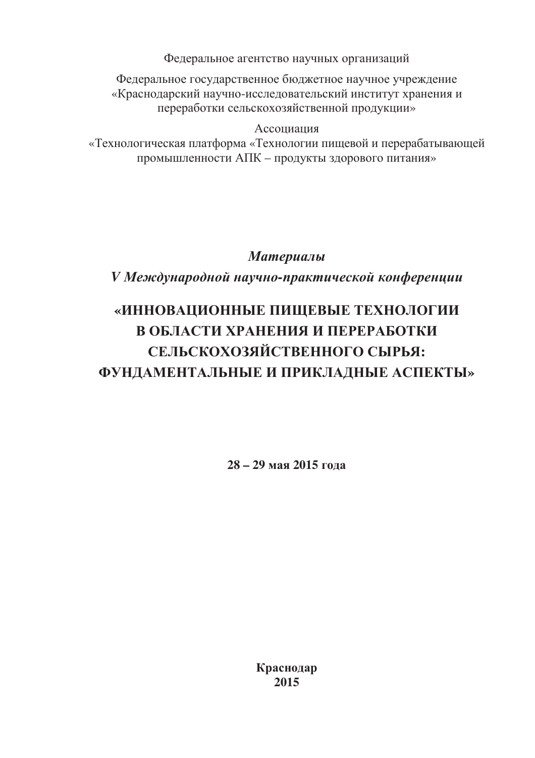Федеральное агентство научных организаций

Федеральное государственное бюджетное научное учреждение «Краснодарский научно-исследовательский институт хранения и переработки сельскохозяйственной продукции»

#### Ассоциация

«Технологическая платформа «Технологии пищевой и перерабатывающей промышленности АПК - продукты здорового питания»

## Материалы

## V Международной научно-практической конференции

# «ИННОВАЦИОННЫЕ ПИЩЕВЫЕ ТЕХНОЛОГИИ В ОБЛАСТИ ХРАНЕНИЯ И ПЕРЕРАБОТКИ СЕЛЬСКОХОЗЯЙСТВЕННОГО СЫРЬЯ: ФУНДАМЕНТАЛЬНЫЕ И ПРИКЛАДНЫЕ АСПЕКТЫ»

 $28 - 29$  мая 2015 гола

Краснодар 2015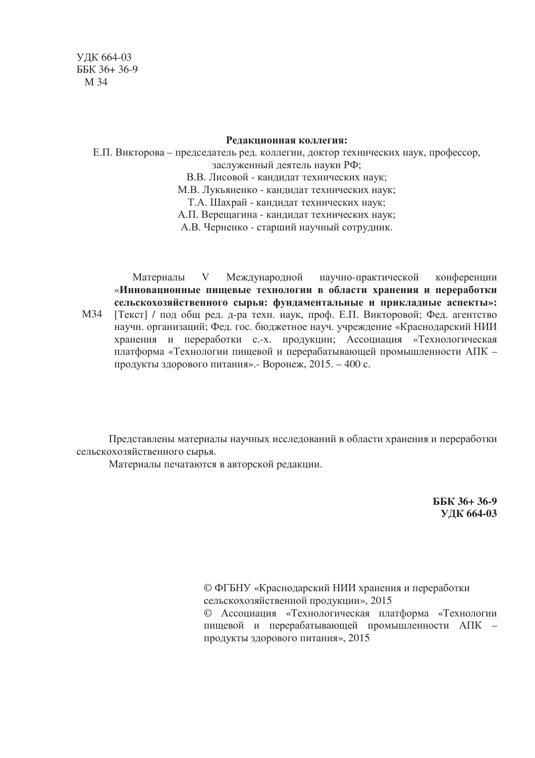#### Редакционная коллегия:

Е.П. Викторова – председатель ред. коллегии, доктор технических наук, профессор, заслуженный деятель науки РФ; В.В. Лисовой - кандидат технических наук; М.В. Лукьяненко - кандидат технических наук; Т.А. Шахрай - кандидат технических наук; А.П. Верещагина - кандидат технических наук; А.В. Черненко - старший научный сотрудник.

Международной научно-практической Материалы V конференции «Инновационные пищевые технологии в области хранения и переработки сельскохозяйственного сырья: фундаментальные и прикладные аспекты»: M34 [Текст] / под общ ред. д-ра техн. наук, проф. Е.П. Викторовой; Фед. агентство научн. организаций; Фед. гос. бюджетное науч. учреждение «Краснодарский НИИ хранения и переработки с.-х. продукции; Ассоциация «Технологическая платформа «Технологии пищевой и перерабатывающей промышленности АПК продукты здорового питания». - Воронеж, 2015. - 400 с.

Представлены материалы научных исследований в области хранения и переработки сельскохозяйственного сырья.

Материалы печатаются в авторской редакции.

ББК 36+36-9 **УДК 664-03** 

© ФГБНУ «Краснодарский НИИ хранения и переработки сельскохозяйственной продукции», 2015 © Ассоциация «Технологическая платформа «Технологии пищевой и перерабатывающей промышленности АПК продукты здорового питания», 2015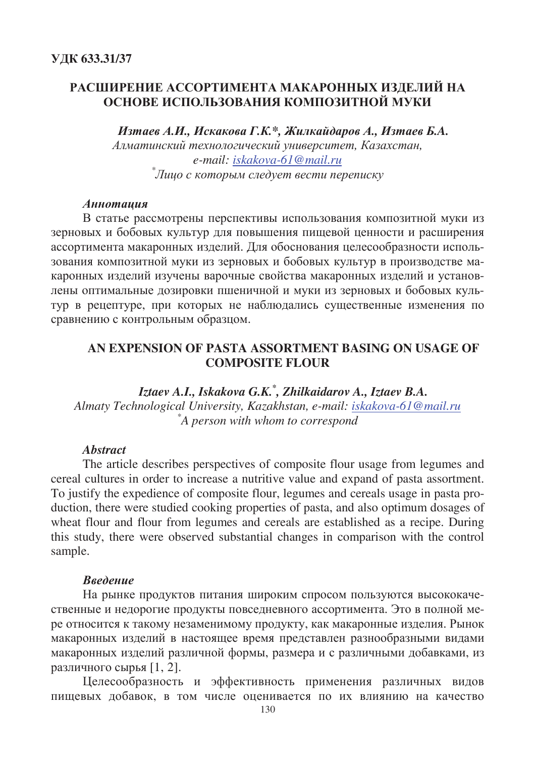#### РАСШИРЕНИЕ АССОРТИМЕНТА МАКАРОННЫХ ИЗДЕЛИЙ НА ОСНОВЕ ИСПОЛЬЗОВАНИЯ КОМПОЗИТНОЙ МУКИ

Изтаев А.И., Искакова Г.К.\*, Жилкайдаров А., Изтаев Б.А. Алматинский технологический университет. Казахстан. e-mail: iskakova-61@mail.ru \*Лицо с которым следует вести переписку

#### Аннотация

В статье рассмотрены перспективы использования композитной муки из зерновых и бобовых культур для повышения пищевой ценности и расширения ассортимента макаронных изделий. Для обоснования целесообразности использования композитной муки из зерновых и бобовых культур в производстве макаронных изделий изучены варочные свойства макаронных изделий и установлены оптимальные дозировки пшеничной и муки из зерновых и бобовых культур в рецептуре, при которых не наблюдались существенные изменения по сравнению с контрольным образцом.

### AN EXPENSION OF PASTA ASSORTMENT BASING ON USAGE OF **COMPOSITE FLOUR**

Iztaev A.I., Iskakova G.K.<sup>\*</sup>, Zhilkaidarov A., Iztaev B.A. Almaty Technological University, Kazakhstan, e-mail: iskakova-61@mail.ru  $A$  person with whom to correspond

#### **Abstract**

The article describes perspectives of composite flour usage from legumes and cereal cultures in order to increase a nutritive value and expand of pasta assortment. To justify the expedience of composite flour, legumes and cereals usage in pasta production, there were studied cooking properties of pasta, and also optimum dosages of wheat flour and flour from legumes and cereals are established as a recipe. During this study, there were observed substantial changes in comparison with the control sample.

#### Введение

На рынке продуктов питания широким спросом пользуются высококачественные и недорогие продукты повседневного ассортимента. Это в полной мере относится к такому незаменимому продукту, как макаронные изделия. Рынок макаронных изделий в настоящее время представлен разнообразными видами макаронных изделий различной формы, размера и с различными добавками, из различного сырья [1, 2].

Целесообразность и эффективность применения различных видов пищевых добавок, в том числе оценивается по их влиянию на качество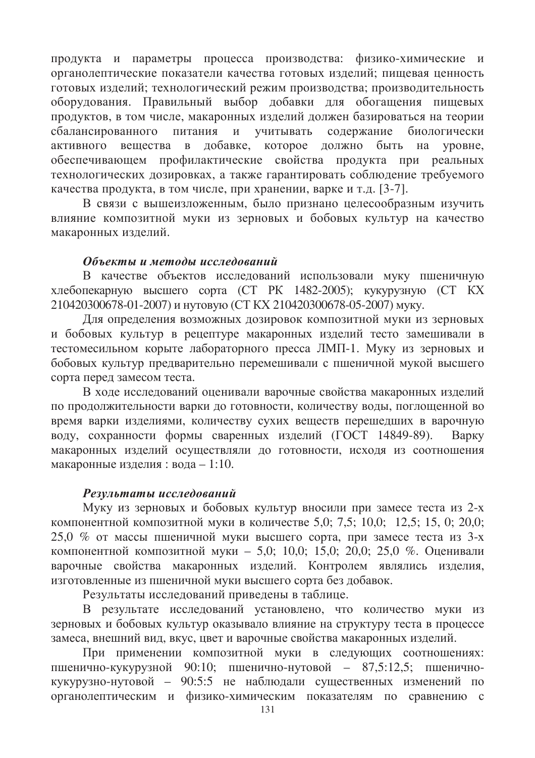продукта и параметры процесса производства: физико-химические и органолептические показатели качества готовых изделий; пищевая ценность готовых изделий; технологический режим производства; производительность оборудования. Правильный выбор добавки для обогащения пищевых продуктов, в том числе, макаронных изделий должен базироваться на теории содержание сбалансированного питания учитывать  $W$ биологически активного вешества  $\overline{B}$ добавке, которое лолжно быть на vpobhe. обеспечивающем профилактические свойства продукта при реальных технологических дозировках, а также гарантировать соблюдение требуемого качества продукта, в том числе, при хранении, варке и т.д. [3-7].

В связи с вышеизложенным, было признано целесообразным изучить влияние композитной муки из зерновых и бобовых культур на качество макаронных изделий.

#### Объекты и методы исследований

В качестве объектов исследований использовали муку пшеничную хлебопекарную высшего сорта (СТ РК 1482-2005); кукурузную (СТ КХ 210420300678-01-2007) и нутовую (СТ КХ 210420300678-05-2007) муку.

Для определения возможных дозировок композитной муки из зерновых и бобовых культур в рецептуре макаронных изделий тесто замешивали в тестомесильном корыте лабораторного пресса ЛМП-1. Муку из зерновых и бобовых культур предварительно перемешивали с пшеничной мукой высшего сорта перед замесом теста.

В ходе исследований оценивали варочные свойства макаронных изделий по продолжительности варки до готовности, количеству воды, поглощенной во время варки изделиями, количеству сухих веществ перешедших в варочную воду, сохранности формы сваренных изделий (ГОСТ 14849-89). **Bapky** макаронных изделий осуществляли до готовности, исходя из соотношения макаронные изделия: вода - 1:10.

#### Результаты исследований

Муку из зерновых и бобовых культур вносили при замесе теста из 2-х компонентной композитной муки в количестве 5,0; 7,5; 10,0; 12,5; 15, 0; 20,0; 25,0 % от массы пшеничной муки высшего сорта, при замесе теста из 3-х компонентной композитной муки - 5,0; 10,0; 15,0; 20,0; 25,0 %. Оценивали варочные свойства макаронных изделий. Контролем являлись изделия, изготовленные из пшеничной муки высшего сорта без добавок.

Результаты исследований приведены в таблице.

В результате исследований установлено, что количество муки из зерновых и бобовых культур оказывало влияние на структуру теста в процессе замеса, внешний вид, вкус, цвет и варочные свойства макаронных изделий.

При применении композитной муки в следующих соотношениях: пшенично-кукурузной 90:10; пшенично-нутовой - 87,5:12,5; пшеничнокукурузно-нутовой - 90:5:5 не наблюдали существенных изменений по органолептическим и физико-химическим показателям по сравнению с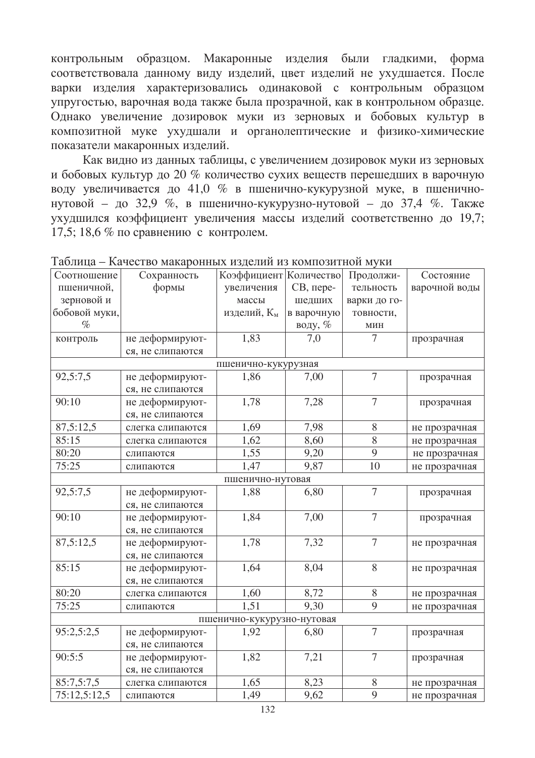контрольным образцом. Макаронные изделия были гладкими, форма соответствовала данному виду изделий, цвет изделий не ухудшается. После варки изделия характеризовались одинаковой с контрольным образцом упругостью, варочная вода также была прозрачной, как в контрольном образце. Однако увеличение дозировок муки из зерновых и бобовых культур в композитной муке ухудшали и органолептические и физико-химические показатели макаронных изделий.

Как видно из данных таблицы, с увеличением дозировок муки из зерновых и бобовых культур до 20 % количество сухих веществ перешедших в варочную воду увеличивается до 41,0 % в пшенично-кукурузной муке, в пшеничнонутовой - до 32,9 %, в пшенично-кукурузно-нутовой - до 37,4 %. Также ухудшился коэффициент увеличения массы изделий соответственно до 19,7; 17,5; 18,6  $\%$  по сравнению с контролем.

| Соотношение                | Сохранность      | Коэффициент Количество |            | Продолжи-      | Состояние     |
|----------------------------|------------------|------------------------|------------|----------------|---------------|
| пшеничной,                 | формы            | увеличения             | СВ, пере-  | тельность      | варочной воды |
| зерновой и                 |                  | массы                  | шедших     | варки до го-   |               |
| бобовой муки,              |                  | изделий, Км            | в варочную | товности,      |               |
| $\%$                       |                  |                        | воду, %    | МИН            |               |
| контроль                   | не деформируют-  | 1,83                   | 7,0        | 7              | прозрачная    |
|                            | ся, не слипаются |                        |            |                |               |
| пшенично-кукурузная        |                  |                        |            |                |               |
| 92,5:7,5                   | не деформируют-  | 1,86                   | 7,00       | $\overline{7}$ | прозрачная    |
|                            | ся, не слипаются |                        |            |                |               |
| 90:10                      | не деформируют-  | 1,78                   | 7,28       | $\overline{7}$ | прозрачная    |
|                            | ся, не слипаются |                        |            |                |               |
| 87,5:12,5                  | слегка слипаются | 1,69                   | 7,98       | $8\,$          | не прозрачная |
| 85:15                      | слегка слипаются | 1,62                   | 8,60       | 8              | не прозрачная |
| 80:20                      | слипаются        | 1,55                   | 9,20       | 9              | не прозрачная |
| 75:25                      | слипаются        | 1,47                   | 9,87       | 10             | не прозрачная |
| пшенично-нутовая           |                  |                        |            |                |               |
| 92,5:7,5                   | не деформируют-  | 1,88                   | 6,80       | $\overline{7}$ | прозрачная    |
|                            | ся, не слипаются |                        |            |                |               |
| 90:10                      | не деформируют-  | 1,84                   | 7,00       | $\overline{7}$ | прозрачная    |
|                            | ся, не слипаются |                        |            |                |               |
| 87,5:12,5                  | не деформируют-  | 1,78                   | 7,32       | $\overline{7}$ | не прозрачная |
|                            | ся, не слипаются |                        |            |                |               |
| 85:15                      | не деформируют-  | 1,64                   | 8,04       | 8              | не прозрачная |
|                            | ся, не слипаются |                        |            |                |               |
| 80:20                      | слегка слипаются | 1,60                   | 8,72       | 8              | не прозрачная |
| 75:25                      | слипаются        | 1,51                   | 9,30       | 9              | не прозрачная |
| пшенично-кукурузно-нутовая |                  |                        |            |                |               |
| 95:2,5:2,5                 | не деформируют-  | 1,92                   | 6,80       | $\overline{7}$ | прозрачная    |
|                            | ся, не слипаются |                        |            |                |               |
| 90:5:5                     | не деформируют-  | 1,82                   | 7,21       | $\overline{7}$ | прозрачная    |
|                            | ся, не слипаются |                        |            |                |               |
| 85:7,5:7,5                 | слегка слипаются | 1,65                   | 8,23       | $8\,$          | не прозрачная |
| 75:12,5:12,5               | слипаются        | 1,49                   | 9,62       | 9              | не прозрачная |

Таблица - Качество макаронных изделий из композитной муки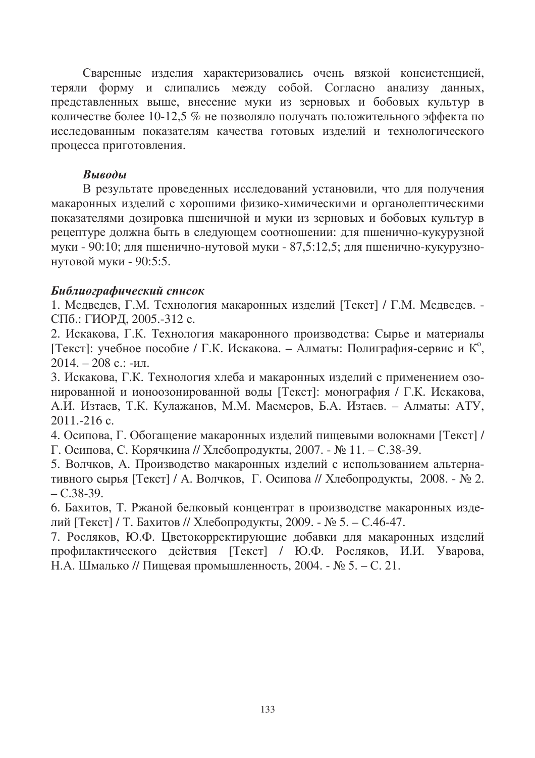Сваренные изделия характеризовались очень вязкой консистенцией, теряли форму и слипались между собой. Согласно анализу данных, представленных выше, внесение муки из зерновых и бобовых культур в количестве более 10-12,5 % не позволяло получать положительного эффекта по исследованным показателям качества готовых изделий и технологического процесса приготовления.

#### Выводы

В результате проведенных исследований установили, что для получения макаронных изделий с хорошими физико-химическими и органолептическими показателями дозировка пшеничной и муки из зерновых и бобовых культур в рецептуре должна быть в следующем соотношении: для пшенично-кукурузной муки - 90:10; для пшенично-нутовой муки - 87,5:12,5; для пшенично-кукурузнонутовой муки - 90:5:5.

#### Библиографический список

1. Медведев, Г.М. Технология макаронных изделий [Текст] / Г.М. Медведев. -СПб.: ГИОРД, 2005.-312 с.

2. Искакова, Г.К. Технология макаронного производства: Сырье и материалы Гекст]: учебное пособие / Г.К. Искакова. – Алматы: Полиграфия-сервис и К°,  $2014. - 208$  с.: -ил.

3. Искакова, Г.К. Технология хлеба и макаронных изделий с применением озонированной и ионоозонированной воды [Текст]: монография / Г.К. Искакова, А.И. Изтаев, Т.К. Кулажанов, М.М. Маемеров, Б.А. Изтаев. – Алматы: АТУ,  $2011 - 216$  c.

4. Осипова, Г. Обогащение макаронных изделий пищевыми волокнами [Текст] / Г. Осипова, С. Корячкина // Хлебопродукты, 2007. - № 11. - С.38-39.

5. Волчков, А. Производство макаронных изделий с использованием альтернативного сырья [Текст] / А. Волчков, Г. Осипова // Хлебопродукты, 2008. - № 2.  $- C.38-39.$ 

6. Бахитов, Т. Ржаной белковый концентрат в производстве макаронных изделий [Текст] / Т. Бахитов // Хлебопродукты, 2009. - № 5. - С.46-47.

7. Росляков, Ю.Ф. Цветокорректирующие добавки для макаронных изделий профилактического действия [Текст] / Ю.Ф. Росляков, И.И. Уварова, Н.А. Шмалько // Пищевая промышленность, 2004. - № 5. – С. 21.